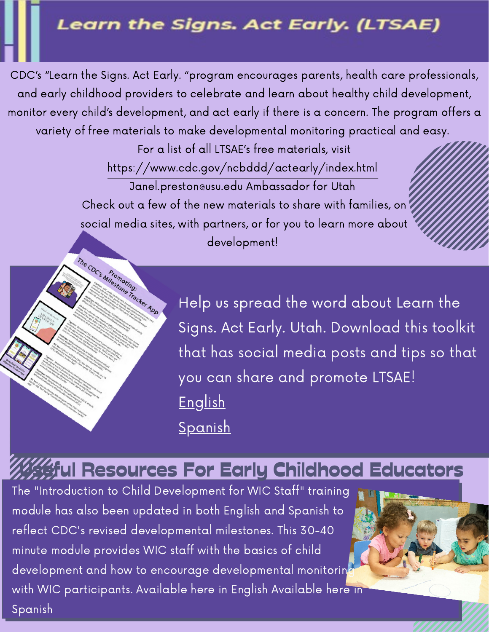## Learn the Signs. Act Early. (LTSAE)

CDC's "Learn the Signs. Act Early. "program encourages parents, health care professionals, and early childhood providers to celebrate and learn about healthy child development, monitor every child's development, and act early if there is a concern. The program offers a variety of free materials to make developmental monitoring practical and easy.

> For a list of all LTSAE's free [materials, visit](https://www.cdc.gov/ncbddd/actearly/index.html) <https://www.cdc.gov/ncbddd/actearly/index.html> Janel.preston@usu.edu Ambassador for Utah Check out a few of the new materials to share with families, on social media sites, with partners, or for you to learn more about development!



Help us spread the word about Learn the Signs. Act Early. Utah. Download this toolkit that has social media posts and tips so that you can share and promote LTSAE! [English](https://usu.box.com/s/nrd49xc3btj4l8cspwo6tuuy48pk7nje) **[Spanish](https://usu.box.com/s/xd74dkilw4l3v888mux7gyuyyct26emt)** 

## Wil Resources For Early Childhood Educators

The "Introduction to Child Development for WIC Staff" training module has also been updated in both English and Spanish to reflect CDC's revised developmental milestones. This 30-40 minute module provides WIC staff with the basics of child development and how to encourage developmental monitorin with WIC [participants. A](https://asphn.org/courses/introduccion-al-desarrollo-de-la-ninez-temprana-de-los-cdcs/)[vailable](https://asphn.org/courses/introduction-to-learn-the-signs-act-early-program/) here in English Available here in Spanish